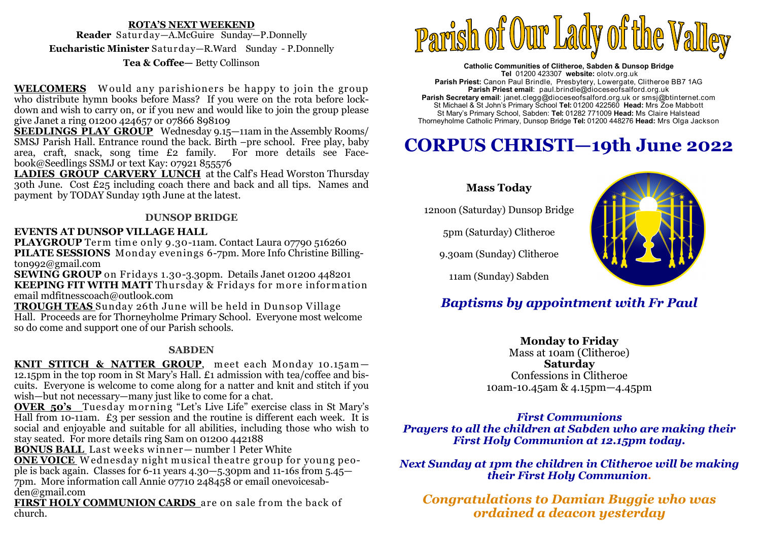### **ROTA'S NEXT WEEKEND Reader** Saturday—A.McGuire Sunday—P.Donnelly **Eucharistic Minister** Saturday—R.Ward Sunday - P.Donnelly**Tea & Coffee—** Betty Collinson

**WELCOMERS** Would any parishioners be happy to join the group who distribute hymn books before Mass? If you were on the rota before lockdown and wish to carry on, or if you new and would like to join the group please give Janet a ring 01200 424657 or 07866 898109

 **SEEDLINGS PLAY GROUP** Wednesday 9.15—11am in the Assembly Rooms/ SMSJ Parish Hall. Entrance round the back. Birth –pre school. Free play, baby area, craft, snack, song time £2 family. For more details see Facebook@Seedlings SSMJ or text Kay: 07921 855576

 **LADIES GROUP CARVERY LUNCH** at the Calf's Head Worston Thursday 30th June. Cost £25 including coach there and back and all tips. Names and payment by TODAY Sunday 19th June at the latest.

### **DUNSOP BRIDGE**

### **EVENTS AT DUNSOP VILLAGE HALL**

**PLAYGROUP** Term time only 9.30-11am. Contact Laura 07790 516260<br>PILATE SESSIONS, Monday evenings 6-7pm. More Info Christine Billi **PILATE SESSIONS** Monday evenings 6-7pm. More Info Christine Billington992@gmail.com

 **SEWING GROUP** on Fridays 1.30-3.30pm. Details Janet 01200 448201**KEEPING FIT WITH MATT** Thursday & Fridays for more information<br>email mdfitnesscoach@outlook.com email mdfitnesscoach@outlook.com

 **TROUGH TEAS** Sunday 26th June will be held in Dunsop Village Hall. Proceeds are for Thorneyholme Primary School. Everyone most welcome so do come and support one of our Parish schools.

### **SABDEN**

KNIT STITCH & NATTER GROUP, meet each Monday 10.15am-**KNIT STITCH & NATTER GROUP**, meet each Monday 10.15am—<br>12.15pm in the top room in St Mary's Hall. £1 admission with tea/coffee and biscuits. Everyone is welcome to come along for a natter and knit and stitch if you wish—but not necessary—many just like to come for a chat.

 **OVER 50's** Tuesday m orning "Let's Live Life" exercise class in St Mary's Hall from 10-11am.  $\pounds_3$  per session and the routine is different each week. It is social and enjoyable and suitable for all abilities, including those who wish to stay seated. For more details ring Sam on 01200 442188

**BONUS BALL** Last weeks winner-number 1 Peter White

**BONUS BALL** Last weeks w inner— number 1 Peter White **ONE VOICE** <sup>W</sup> ednesday night m usical theatre group for young people is back again. Classes for 6-11 years 4.30–5.30pm and 11-16s from 5.45– 7pm. More information call Annie 07710 248458 or email onevoicesabden@gmail.com

 **FIRST HOLY COMMUNION CARDS** are on sale from the back of church.



**Catholic Communities of Clitheroe, Sabden & Dunsop Bridge Tel** 01200 423307 **website:** olotv.org.uk **Parish Priest:** Canon Paul Brindle, Presbytery, Lowergate, Clitheroe BB7 1AG**Parish Priest email**: paul.brindle@dioceseofsalford.org.uk **Parish Secretary email**: janet.clegg@dioceseofsalford.org.uk or smsj@btinternet.com St Michael & St John's Primary School **Tel:** 01200 422560 **Head:** Mrs Zoe Mabbott St Mary's Primary School, Sabden: **Tel:** 01282 771009 **Head:** Ms Claire HalsteadThorneyholme Catholic Primary, Dunsop Bridge **Tel:** 01200 448276 **Head:** Mrs Olga Jackson

# **CORPUS CHRISTI—19th June 2022**

## **Mass Today**

12noon (Saturday) Dunsop Bridge

5pm (Saturday) Clitheroe

9.30am (Sunday) Clitheroe



11am (Sunday) Sabden

# *Baptisms by appointment with Fr Paul*

**Monday to Friday**  Mass at 10am (Clitheroe) **Saturday** Confessions in Clitheroe 10am-10.45am & 4.15pm—4.45pm

### *First Communions*

 *Prayers to all the children at Sabden who are making their First Holy Communion at 12.15pm today.* 

*Next Sunday at 1pm the children in Clitheroe will be making their First Holy Communion.* 

*Congratulations to Damian Buggie who was ordained a deacon yesterday*